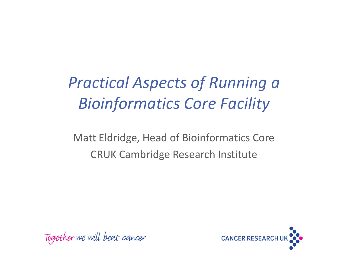*Practical Aspects of Running a Bioinformatics Core Facility*

Matt Eldridge, Head of Bioinformatics Core CRUK Cambridge Research Institute

Together we will beat cancer

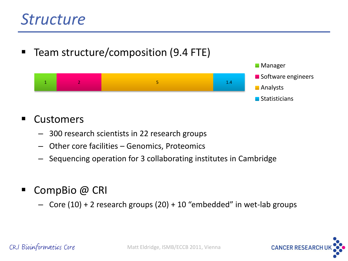#### *Structure*

■ Team structure/composition (9.4 FTE)



#### ■ Customers

- 300 research scientists in 22 research groups
- Other core facilities Genomics, Proteomics
- Sequencing operation for 3 collaborating institutes in Cambridge
- CompBio @ CRI
	- Core (10) + 2 research groups (20) + 10 "embedded" in wet-lab groups

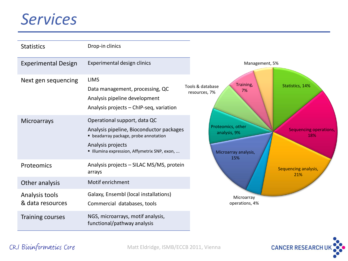#### *Services*

| <b>Statistics</b>                  | Drop-in clinics                                                                                                                                                                      |                                                                                                          |
|------------------------------------|--------------------------------------------------------------------------------------------------------------------------------------------------------------------------------------|----------------------------------------------------------------------------------------------------------|
| <b>Experimental Design</b>         | Experimental design clinics                                                                                                                                                          | Management, 5%                                                                                           |
| Next gen sequencing                | <b>LIMS</b><br>Data management, processing, QC<br>Analysis pipeline development<br>Analysis projects - ChIP-seq, variation                                                           | Training,<br>Statistics, 14%<br>Tools & database<br>7%<br>resources, 7%                                  |
| Microarrays                        | Operational support, data QC<br>Analysis pipeline, Bioconductor packages<br>• beadarray package, probe annotation<br>Analysis projects<br>Illumina expression, Affymetrix SNP, exon, | Proteomics, other<br><b>Sequencing operations,</b><br>analysis, 9%<br>18%<br>Microarray analysis,<br>15% |
| Proteomics                         | Analysis projects - SILAC MS/MS, protein<br>arrays                                                                                                                                   | Sequencing analysis,<br>21%                                                                              |
| Other analysis                     | Motif enrichment                                                                                                                                                                     |                                                                                                          |
| Analysis tools<br>& data resources | Galaxy, Ensembl (local installations)<br>Commercial databases, tools                                                                                                                 | Microarray<br>operations, 4%                                                                             |
| <b>Training courses</b>            | NGS, microarrays, motif analysis,<br>functional/pathway analysis                                                                                                                     |                                                                                                          |

#### CRI Bioinformatics Core

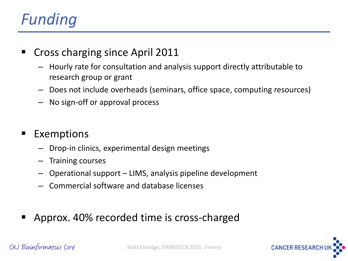# *Funding*

- Cross charging since April 2011
	- Hourly rate for consultation and analysis support directly attributable to research group or grant
	- Does not include overheads (seminars, office space, computing resources)
	- No sign-off or approval process

#### Exemptions

- Drop-in clinics, experimental design meetings
- Training courses
- Operational support LIMS, analysis pipeline development
- Commercial software and database licenses
- Approx. 40% recorded time is cross-charged



CRI Bioinformatics Core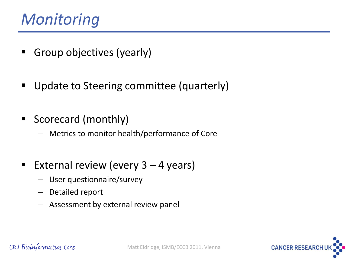#### *Monitoring*

- **Group objectives (yearly)**
- **Update to Steering committee (quarterly)**
- **Scorecard (monthly)** 
	- Metrics to monitor health/performance of Core
- External review (every  $3 4$  years)
	- User questionnaire/survey
	- Detailed report
	- Assessment by external review panel

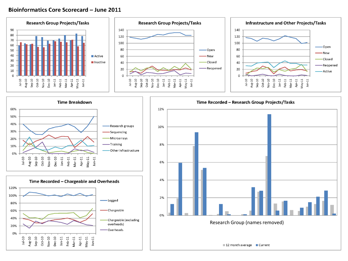#### **Bioinformatics Core Scorecard - June 2011**







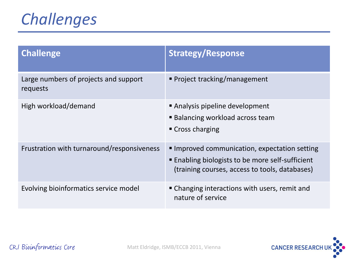## *Challenges*

| <b>Challenge</b>                                  | <b>Strategy/Response</b>                                                                                                                          |
|---------------------------------------------------|---------------------------------------------------------------------------------------------------------------------------------------------------|
| Large numbers of projects and support<br>requests | ■ Project tracking/management                                                                                                                     |
| High workload/demand                              | Analysis pipeline development<br>■ Balancing workload across team<br>■ Cross charging                                                             |
| Frustration with turnaround/responsiveness        | Improved communication, expectation setting<br>■ Enabling biologists to be more self-sufficient<br>(training courses, access to tools, databases) |
| Evolving bioinformatics service model             | • Changing interactions with users, remit and<br>nature of service                                                                                |

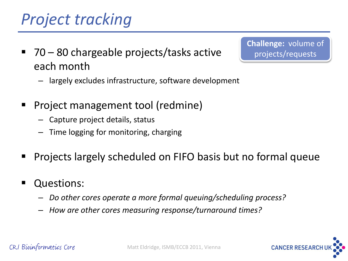# *Project tracking*

■ 70 – 80 chargeable projects/tasks active each month

**Challenge:** volume of projects/requests

- largely excludes infrastructure, software development
- Project management tool (redmine)
	- Capture project details, status
	- Time logging for monitoring, charging
- Projects largely scheduled on FIFO basis but no formal queue
- Questions:
	- *Do other cores operate a more formal queuing/scheduling process?*
	- *How are other cores measuring response/turnaround times?*

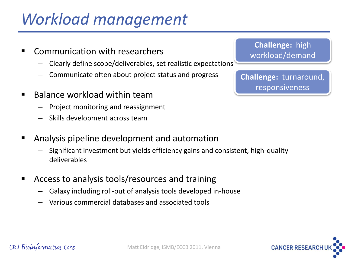## *Workload management*

- Communication with researchers
	- Clearly define scope/deliverables, set realistic expectations
	- Communicate often about project status and progress
- Balance workload within team
	- Project monitoring and reassignment
	- Skills development across team
- Analysis pipeline development and automation
	- Significant investment but yields efficiency gains and consistent, high-quality deliverables
- Access to analysis tools/resources and training
	- Galaxy including roll-out of analysis tools developed in-house
	- Various commercial databases and associated tools

**Challenge:** high workload/demand

**Challenge:** turnaround, responsiveness